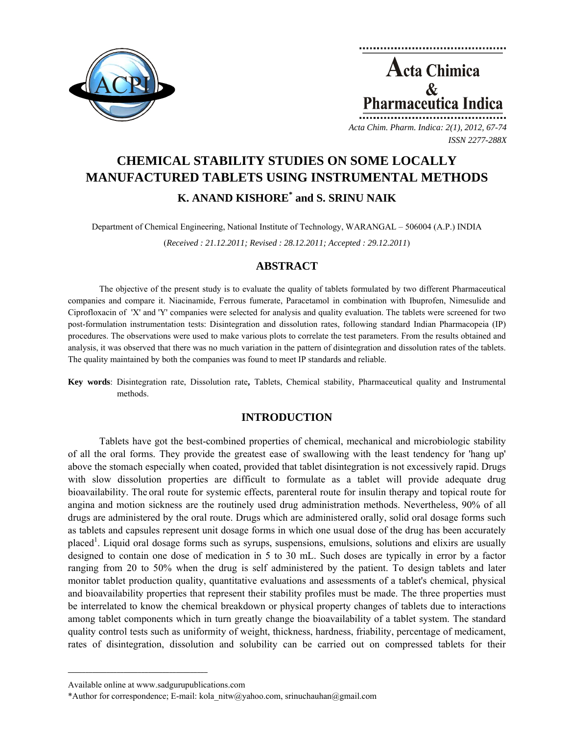



*Acta Chim. Pharm. Indica: 2(1), 2012, 67-74 ISSN 2277-288X*

# **CHEMICAL STABILITY STUDIES ON SOME LOCALLY MANUFACTURED TABLETS USING INSTRUMENTAL METHODS K. ANAND KISHORE<sup>\*</sup> and S. SRINU NAIK**

Department of Chemical Engineering, National Institute of Technology, WARANGAL – 506004 (A.P.) INDIA

(*Received : 21.12.2011; Revised : 28.12.2011; Accepted : 29.12.2011*)

# **ABSTRACT**

The objective of the present study is to evaluate the quality of tablets formulated by two different Pharmaceutical companies and compare it. Niacinamide, Ferrous fumerate, Paracetamol in combination with Ibuprofen, Nimesulide and Ciprofloxacin of 'X' and 'Y' companies were selected for analysis and quality evaluation. The tablets were screened for two post-formulation instrumentation tests: Disintegration and dissolution rates, following standard Indian Pharmacopeia (IP) procedures. The observations were used to make various plots to correlate the test parameters. From the results obtained and analysis, it was observed that there was no much variation in the pattern of disintegration and dissolution rates of the tablets. The quality maintained by both the companies was found to meet IP standards and reliable.

**Key words**: Disintegration rate, Dissolution rate**,** Tablets, Chemical stability, Pharmaceutical quality and Instrumental methods.

# **INTRODUCTION**

Tablets have got the best-combined properties of chemical, mechanical and microbiologic stability of all the oral forms. They provide the greatest ease of swallowing with the least tendency for 'hang up' above the stomach especially when coated, provided that tablet disintegration is not excessively rapid. Drugs with slow dissolution properties are difficult to formulate as a tablet will provide adequate drug bioavailability. The oral route for systemic effects, parenteral route for insulin therapy and topical route for angina and motion sickness are the routinely used drug administration methods. Nevertheless, 90% of all drugs are administered by the oral route. Drugs which are administered orally, solid oral dosage forms such as tablets and capsules represent unit dosage forms in which one usual dose of the drug has been accurately placed<sup>1</sup>. Liquid oral dosage forms such as syrups, suspensions, emulsions, solutions and elixirs are usually designed to contain one dose of medication in 5 to 30 mL. Such doses are typically in error by a factor ranging from 20 to 50% when the drug is self administered by the patient. To design tablets and later monitor tablet production quality, quantitative evaluations and assessments of a tablet's chemical, physical and bioavailability properties that represent their stability profiles must be made. The three properties must be interrelated to know the chemical breakdown or physical property changes of tablets due to interactions among tablet components which in turn greatly change the bioavailability of a tablet system. The standard quality control tests such as uniformity of weight, thickness, hardness, friability, percentage of medicament, rates of disintegration, dissolution and solubility can be carried out on compressed tablets for their

**\_\_\_\_\_\_\_\_\_\_\_\_\_\_\_\_\_\_\_\_\_\_\_\_\_\_\_\_\_\_\_\_\_\_\_\_\_\_\_\_**

Available online at www.sadgurupublications.com

<sup>\*</sup>Author for correspondence; E-mail: kola\_nitw@yahoo.com, srinuchauhan@gmail.com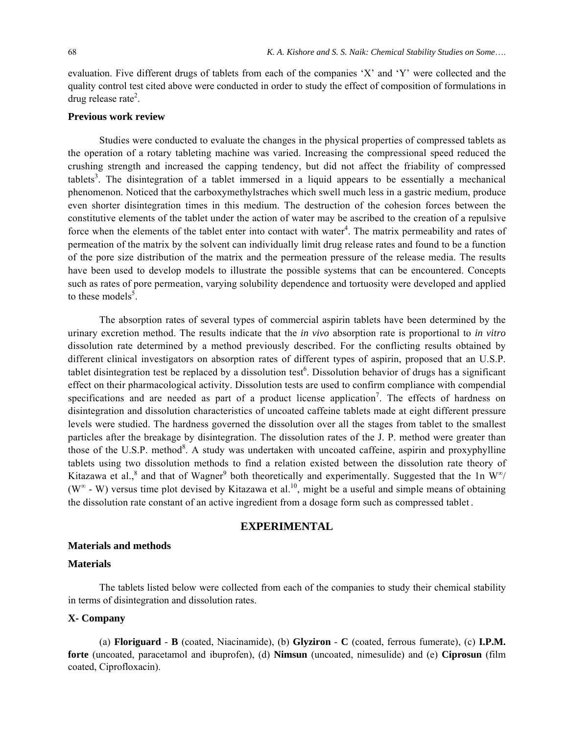evaluation. Five different drugs of tablets from each of the companies 'X' and 'Y' were collected and the quality control test cited above were conducted in order to study the effect of composition of formulations in drug release rate<sup>2</sup>.

# **Previous work review**

Studies were conducted to evaluate the changes in the physical properties of compressed tablets as the operation of a rotary tableting machine was varied. Increasing the compressional speed reduced the crushing strength and increased the capping tendency, but did not affect the friability of compressed tablets<sup>3</sup>. The disintegration of a tablet immersed in a liquid appears to be essentially a mechanical phenomenon. Noticed that the carboxymethylstraches which swell much less in a gastric medium, produce even shorter disintegration times in this medium. The destruction of the cohesion forces between the constitutive elements of the tablet under the action of water may be ascribed to the creation of a repulsive force when the elements of the tablet enter into contact with water<sup>4</sup>. The matrix permeability and rates of permeation of the matrix by the solvent can individually limit drug release rates and found to be a function of the pore size distribution of the matrix and the permeation pressure of the release media. The results have been used to develop models to illustrate the possible systems that can be encountered. Concepts such as rates of pore permeation, varying solubility dependence and tortuosity were developed and applied to these models<sup>5</sup>.

The absorption rates of several types of commercial aspirin tablets have been determined by the urinary excretion method. The results indicate that the *in vivo* absorption rate is proportional to *in vitro* dissolution rate determined by a method previously described. For the conflicting results obtained by different clinical investigators on absorption rates of different types of aspirin, proposed that an U.S.P. tablet disintegration test be replaced by a dissolution test<sup>6</sup>. Dissolution behavior of drugs has a significant effect on their pharmacological activity. Dissolution tests are used to confirm compliance with compendial specifications and are needed as part of a product license application<sup>7</sup>. The effects of hardness on disintegration and dissolution characteristics of uncoated caffeine tablets made at eight different pressure levels were studied. The hardness governed the dissolution over all the stages from tablet to the smallest particles after the breakage by disintegration. The dissolution rates of the J. P. method were greater than those of the U.S.P. method<sup>8</sup>. A study was undertaken with uncoated caffeine, aspirin and proxyphylline tablets using two dissolution methods to find a relation existed between the dissolution rate theory of Kitazawa et al.,<sup>8</sup> and that of Wagner<sup>9</sup> both theoretically and experimentally. Suggested that the 1n W<sup>∞</sup>/ ( $W^{\infty}$  - W) versus time plot devised by Kitazawa et al.<sup>10</sup>, might be a useful and simple means of obtaining the dissolution rate constant of an active ingredient from a dosage form such as compressed tablet .

## **EXPERIMENTAL**

#### **Materials and methods**

#### **Materials**

The tablets listed below were collected from each of the companies to study their chemical stability in terms of disintegration and dissolution rates.

#### **X- Company**

(a) **Floriguard** - **B** (coated, Niacinamide), (b) **Glyziron** - **C** (coated, ferrous fumerate), (c) **I.P.M. forte** (uncoated, paracetamol and ibuprofen), (d) **Nimsun** (uncoated, nimesulide) and (e) **Ciprosun** (film coated, Ciprofloxacin).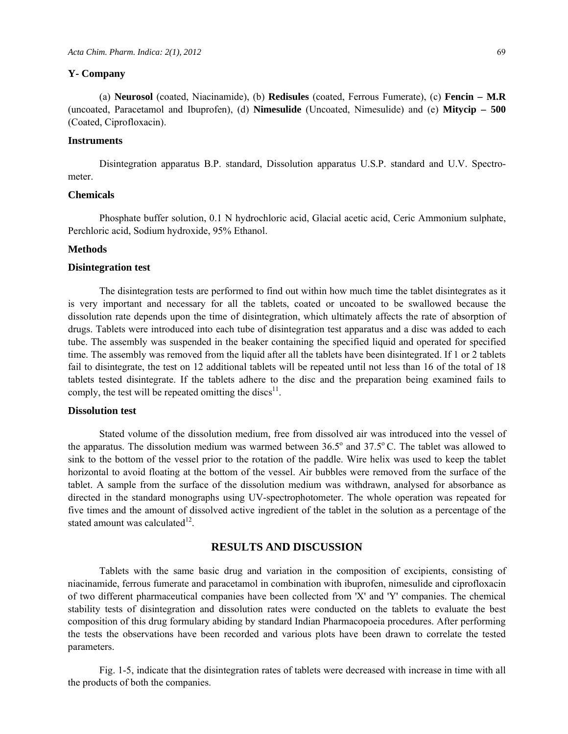#### **Y- Company**

(a) **Neurosol** (coated, Niacinamide), (b) **Redisules** (coated, Ferrous Fumerate), (c) **Fencin – M.R** (uncoated, Paracetamol and Ibuprofen), (d) **Nimesulide** (Uncoated, Nimesulide) and (e) **Mitycip – 500** (Coated, Ciprofloxacin).

#### **Instruments**

Disintegration apparatus B.P. standard, Dissolution apparatus U.S.P. standard and U.V. Spectrometer.

#### **Chemicals**

Phosphate buffer solution, 0.1 N hydrochloric acid, Glacial acetic acid, Ceric Ammonium sulphate, Perchloric acid, Sodium hydroxide, 95% Ethanol.

#### **Methods**

#### **Disintegration test**

The disintegration tests are performed to find out within how much time the tablet disintegrates as it is very important and necessary for all the tablets, coated or uncoated to be swallowed because the dissolution rate depends upon the time of disintegration, which ultimately affects the rate of absorption of drugs. Tablets were introduced into each tube of disintegration test apparatus and a disc was added to each tube. The assembly was suspended in the beaker containing the specified liquid and operated for specified time. The assembly was removed from the liquid after all the tablets have been disintegrated. If 1 or 2 tablets fail to disintegrate, the test on 12 additional tablets will be repeated until not less than 16 of the total of 18 tablets tested disintegrate. If the tablets adhere to the disc and the preparation being examined fails to comply, the test will be repeated omitting the discs<sup>11</sup>.

#### **Dissolution test**

Stated volume of the dissolution medium, free from dissolved air was introduced into the vessel of the apparatus. The dissolution medium was warmed between  $36.5^{\circ}$  and  $37.5^{\circ}$  C. The tablet was allowed to sink to the bottom of the vessel prior to the rotation of the paddle. Wire helix was used to keep the tablet horizontal to avoid floating at the bottom of the vessel. Air bubbles were removed from the surface of the tablet. A sample from the surface of the dissolution medium was withdrawn, analysed for absorbance as directed in the standard monographs using UV-spectrophotometer. The whole operation was repeated for five times and the amount of dissolved active ingredient of the tablet in the solution as a percentage of the stated amount was calculated $^{12}$ .

## **RESULTS AND DISCUSSION**

Tablets with the same basic drug and variation in the composition of excipients, consisting of niacinamide, ferrous fumerate and paracetamol in combination with ibuprofen, nimesulide and ciprofloxacin of two different pharmaceutical companies have been collected from 'X' and 'Y' companies. The chemical stability tests of disintegration and dissolution rates were conducted on the tablets to evaluate the best composition of this drug formulary abiding by standard Indian Pharmacopoeia procedures. After performing the tests the observations have been recorded and various plots have been drawn to correlate the tested parameters.

Fig. 1-5, indicate that the disintegration rates of tablets were decreased with increase in time with all the products of both the companies.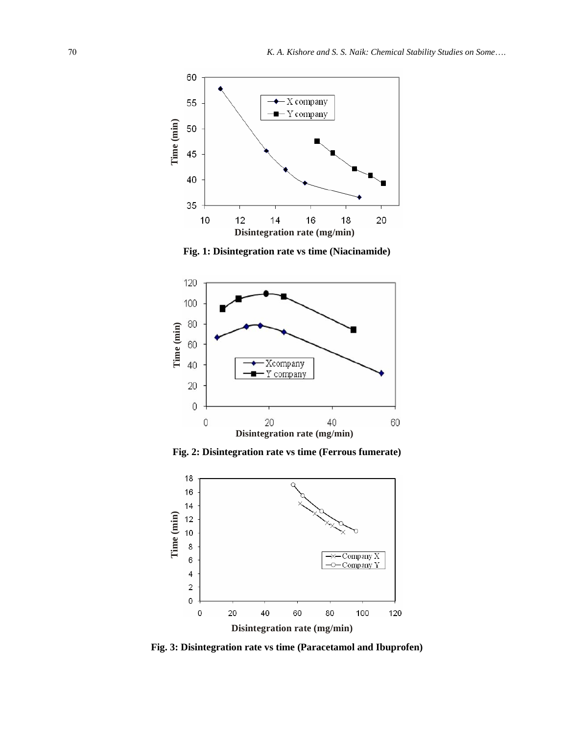

**Fig. 1: Disintegration rate vs time (Niacinamide)** 



**Fig. 2: Disintegration rate vs time (Ferrous fumerate)** 



**Fig. 3: Disintegration rate vs time (Paracetamol and Ibuprofen)**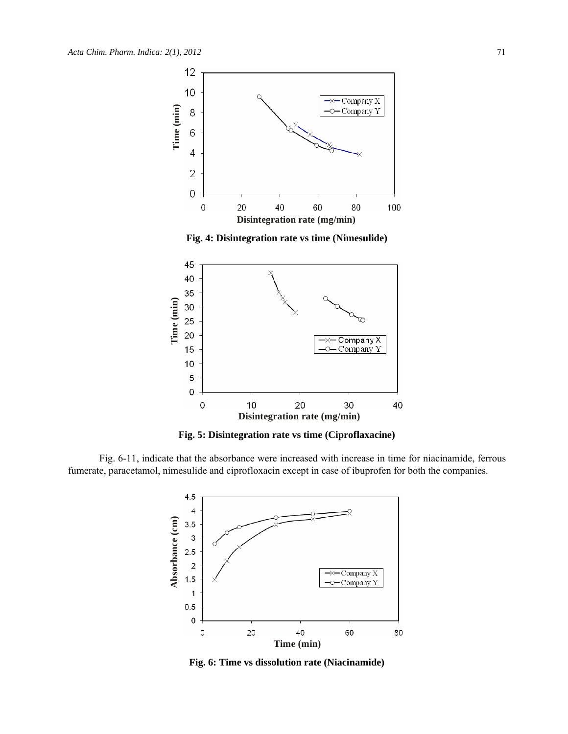

**Fig. 4: Disintegration rate vs time (Nimesulide)** 



**Fig. 5: Disintegration rate vs time (Ciproflaxacine)** 

Fig. 6-11, indicate that the absorbance were increased with increase in time for niacinamide, ferrous fumerate, paracetamol, nimesulide and ciprofloxacin except in case of ibuprofen for both the companies.



**Fig. 6: Time vs dissolution rate (Niacinamide)**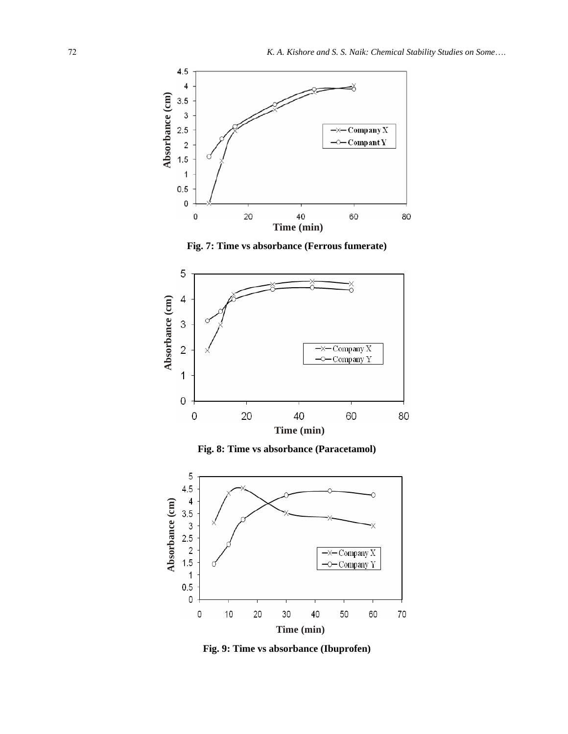





**Fig. 8: Time vs absorbance (Paracetamol)** 



**Fig. 9: Time vs absorbance (Ibuprofen)**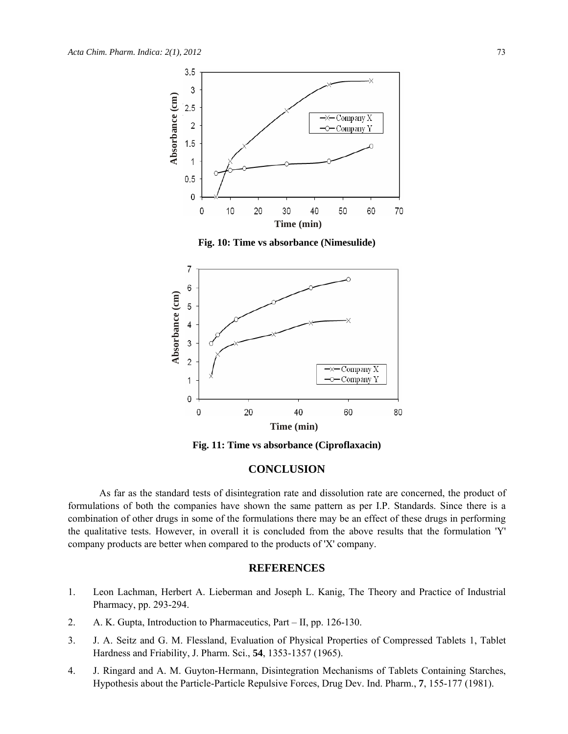

**Fig. 10: Time vs absorbance (Nimesulide)** 



**Fig. 11: Time vs absorbance (Ciproflaxacin)** 

# **CONCLUSION**

As far as the standard tests of disintegration rate and dissolution rate are concerned, the product of formulations of both the companies have shown the same pattern as per I.P. Standards. Since there is a combination of other drugs in some of the formulations there may be an effect of these drugs in performing the qualitative tests. However, in overall it is concluded from the above results that the formulation 'Y' company products are better when compared to the products of 'X' company.

# **REFERENCES**

- 1. Leon Lachman, Herbert A. Lieberman and Joseph L. Kanig, The Theory and Practice of Industrial Pharmacy, pp. 293-294.
- 2. A. K. Gupta, Introduction to Pharmaceutics, Part II, pp. 126-130.
- 3. J. A. Seitz and G. M. Flessland, Evaluation of Physical Properties of Compressed Tablets 1, Tablet Hardness and Friability, J. Pharm. Sci., **54**, 1353-1357 (1965).
- 4. J. Ringard and A. M. Guyton-Hermann, Disintegration Mechanisms of Tablets Containing Starches, Hypothesis about the Particle-Particle Repulsive Forces, Drug Dev. Ind. Pharm., **7**, 155-177 (1981).